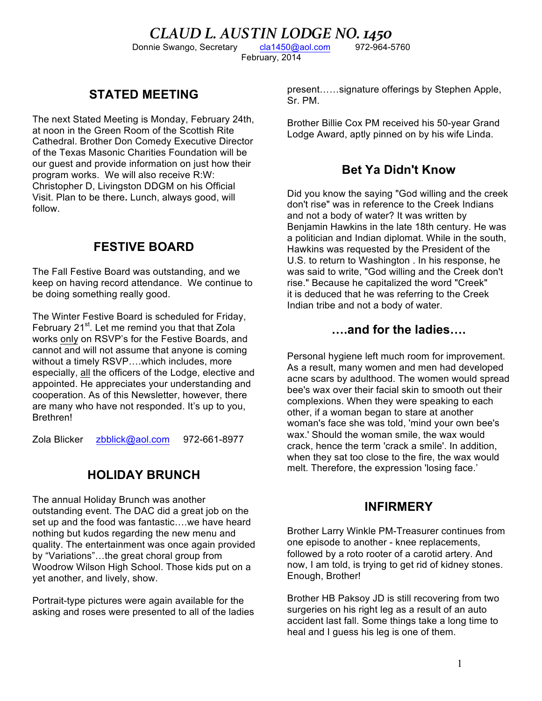CLAUD L. AUSTIN LODGE NO. 1450<br>
IN 1898 12-964-5760<br>
Recretary Cla1450@aol.com<br>
1972-964-5760 Donnie Swango, Secretary February, 2014

## **STATED MEETING**

The next Stated Meeting is Monday, February 24th, at noon in the Green Room of the Scottish Rite Cathedral. Brother Don Comedy Executive Director of the Texas Masonic Charities Foundation will be our guest and provide information on just how their program works. We will also receive R:W: Christopher D, Livingston DDGM on his Official Visit. Plan to be there**.** Lunch, always good, will follow.

## **FESTIVE BOARD**

The Fall Festive Board was outstanding, and we keep on having record attendance. We continue to be doing something really good.

The Winter Festive Board is scheduled for Friday, February 21<sup>st</sup>. Let me remind you that that Zola works only on RSVP's for the Festive Boards, and cannot and will not assume that anyone is coming without a timely RSVP....which includes, more especially, all the officers of the Lodge, elective and appointed. He appreciates your understanding and cooperation. As of this Newsletter, however, there are many who have not responded. It's up to you, Brethren!

Zola Blicker zbblick@aol.com 972-661-8977

## **HOLIDAY BRUNCH**

The annual Holiday Brunch was another outstanding event. The DAC did a great job on the set up and the food was fantastic….we have heard nothing but kudos regarding the new menu and quality. The entertainment was once again provided by "Variations"…the great choral group from Woodrow Wilson High School. Those kids put on a yet another, and lively, show.

Portrait-type pictures were again available for the asking and roses were presented to all of the ladies present……signature offerings by Stephen Apple, Sr. PM.

Brother Billie Cox PM received his 50-year Grand Lodge Award, aptly pinned on by his wife Linda.

### **Bet Ya Didn't Know**

Did you know the saying "God willing and the creek don't rise" was in reference to the Creek Indians and not a body of water? It was written by Benjamin Hawkins in the late 18th century. He was a politician and Indian diplomat. While in the south, Hawkins was requested by the President of the U.S. to return to Washington . In his response, he was said to write, "God willing and the Creek don't rise." Because he capitalized the word "Creek" it is deduced that he was referring to the Creek Indian tribe and not a body of water.

### **….and for the ladies….**

Personal hygiene left much room for improvement. As a result, many women and men had developed acne scars by adulthood. The women would spread bee's wax over their facial skin to smooth out their complexions. When they were speaking to each other, if a woman began to stare at another woman's face she was told, 'mind your own bee's wax.' Should the woman smile, the wax would crack, hence the term 'crack a smile'. In addition, when they sat too close to the fire, the wax would melt. Therefore, the expression 'losing face.'

### **INFIRMERY**

Brother Larry Winkle PM-Treasurer continues from one episode to another - knee replacements, followed by a roto rooter of a carotid artery. And now, I am told, is trying to get rid of kidney stones. Enough, Brother!

Brother HB Paksoy JD is still recovering from two surgeries on his right leg as a result of an auto accident last fall. Some things take a long time to heal and I guess his leg is one of them.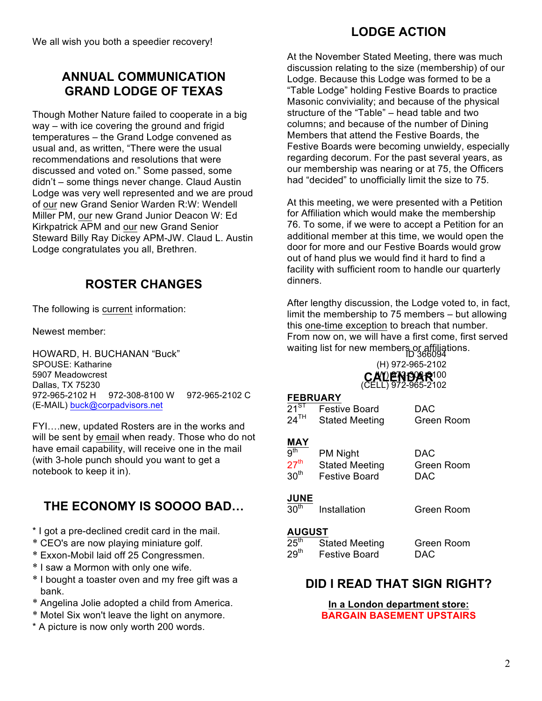# **ANNUAL COMMUNICATION GRAND LODGE OF TEXAS**

Though Mother Nature failed to cooperate in a big way – with ice covering the ground and frigid temperatures – the Grand Lodge convened as usual and, as written, "There were the usual recommendations and resolutions that were discussed and voted on." Some passed, some didn't – some things never change. Claud Austin Lodge was very well represented and we are proud of our new Grand Senior Warden R:W: Wendell Miller PM, our new Grand Junior Deacon W: Ed Kirkpatrick APM and our new Grand Senior Steward Billy Ray Dickey APM-JW. Claud L. Austin Lodge congratulates you all, Brethren.

# **ROSTER CHANGES**

The following is current information:

Newest member:

HOWARD, H. BUCHANAN "Buck" in the model watting itst for hew member 10 366094<br>SPOUSE: Katharine (H) 972-965-2102 SPOUSE: Katharine 5907 Meadowcrest (W) 972-308-8100 Dallas, TX 75230 (CELL) 972-965-2102 **CALENDAR** 972-965-2102 H 972-308-8100 W 972-965-2102 C (E-MAIL) buck@corpadvisors.net

FYI….new, updated Rosters are in the works and will be sent by email when ready. Those who do not have email capability, will receive one in the mail (with 3-hole punch should you want to get a notebook to keep it in).

# **THE ECONOMY IS SOOOO BAD…**

- \* I got a pre-declined credit card in the mail.
- \* CEO's are now playing miniature golf.
- \* Exxon-Mobil laid off 25 Congressmen.
- \* I saw a Mormon with only one wife.
- \* I bought a toaster oven and my free gift was a bank.
- \* Angelina Jolie adopted a child from America.
- \* Motel Six won't leave the light on anymore.
- \* A picture is now only worth 200 words.

# **LODGE ACTION**

At the November Stated Meeting, there was much discussion relating to the size (membership) of our Lodge. Because this Lodge was formed to be a "Table Lodge" holding Festive Boards to practice Masonic conviviality; and because of the physical structure of the "Table" – head table and two columns; and because of the number of Dining Members that attend the Festive Boards, the Festive Boards were becoming unwieldy, especially regarding decorum. For the past several years, as our membership was nearing or at 75, the Officers had "decided" to unofficially limit the size to 75.

At this meeting, we were presented with a Petition for Affiliation which would make the membership 76. To some, if we were to accept a Petition for an additional member at this time, we would open the door for more and our Festive Boards would grow out of hand plus we would find it hard to find a facility with sufficient room to handle our quarterly dinners.

After lengthy discussion, the Lodge voted to, in fact, limit the membership to 75 members – but allowing this one-time exception to breach that number. From now on, we will have a first come, first served waiting list for new members or affiliations.

#### **FEBRUARY**

| --------                                                     |                                                                  |                          |
|--------------------------------------------------------------|------------------------------------------------------------------|--------------------------|
| 21 $^{\mathtt{ST}}$                                          | <b>Festive Board</b>                                             | DAC                      |
| $24^{\text{TH}}$                                             | <b>Stated Meeting</b>                                            | Green Room               |
|                                                              |                                                                  |                          |
| <b>MAY</b>                                                   |                                                                  |                          |
| $\overline{9}^{\text{th}}$<br>$27^{\sf th}$<br>$30^{\sf th}$ | <b>PM Night</b><br><b>Stated Meeting</b><br><b>Festive Board</b> | DAC<br>Green Room<br>DAC |
| <b>JUNE</b><br>$30^{\sf th}$                                 |                                                                  |                          |
|                                                              | Installation                                                     | Green Room               |
|                                                              |                                                                  |                          |

#### **AUGUST**

| $25^{\sf th}$ | <b>Stated Meeting</b> | Green Room |
|---------------|-----------------------|------------|
| $29^{\sf th}$ | <b>Festive Board</b>  | <b>DAC</b> |

### **DID I READ THAT SIGN RIGHT?**

**In a London department store: BARGAIN BASEMENT UPSTAIRS**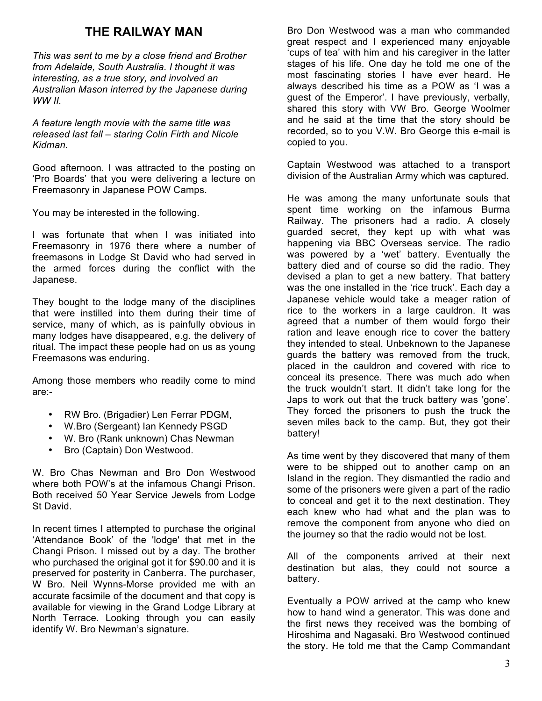## **THE RAILWAY MAN**

*This was sent to me by a close friend and Brother from Adelaide, South Australia. I thought it was interesting, as a true story, and involved an Australian Mason interred by the Japanese during WW II.* 

*A feature length movie with the same title was released last fall – staring Colin Firth and Nicole Kidman.*

Good afternoon. I was attracted to the posting on 'Pro Boards' that you were delivering a lecture on Freemasonry in Japanese POW Camps.

You may be interested in the following.

I was fortunate that when I was initiated into Freemasonry in 1976 there where a number of freemasons in Lodge St David who had served in the armed forces during the conflict with the Japanese.

They bought to the lodge many of the disciplines that were instilled into them during their time of service, many of which, as is painfully obvious in many lodges have disappeared, e.g. the delivery of ritual. The impact these people had on us as young Freemasons was enduring.

Among those members who readily come to mind are:-

- RW Bro. (Brigadier) Len Ferrar PDGM,
- W.Bro (Sergeant) Ian Kennedy PSGD
- W. Bro (Rank unknown) Chas Newman
- Bro (Captain) Don Westwood.

W. Bro Chas Newman and Bro Don Westwood where both POW's at the infamous Changi Prison. Both received 50 Year Service Jewels from Lodge St David.

In recent times I attempted to purchase the original 'Attendance Book' of the 'lodge' that met in the Changi Prison. I missed out by a day. The brother who purchased the original got it for \$90.00 and it is preserved for posterity in Canberra. The purchaser, W Bro. Neil Wynns-Morse provided me with an accurate facsimile of the document and that copy is available for viewing in the Grand Lodge Library at North Terrace. Looking through you can easily identify W. Bro Newman's signature.

Bro Don Westwood was a man who commanded great respect and I experienced many enjoyable 'cups of tea' with him and his caregiver in the latter stages of his life. One day he told me one of the most fascinating stories I have ever heard. He always described his time as a POW as 'I was a guest of the Emperor'. I have previously, verbally, shared this story with VW Bro. George Woolmer and he said at the time that the story should be recorded, so to you V.W. Bro George this e-mail is copied to you.

Captain Westwood was attached to a transport division of the Australian Army which was captured.

He was among the many unfortunate souls that spent time working on the infamous Burma Railway. The prisoners had a radio. A closely guarded secret, they kept up with what was happening via BBC Overseas service. The radio was powered by a 'wet' battery. Eventually the battery died and of course so did the radio. They devised a plan to get a new battery. That battery was the one installed in the 'rice truck'. Each day a Japanese vehicle would take a meager ration of rice to the workers in a large cauldron. It was agreed that a number of them would forgo their ration and leave enough rice to cover the battery they intended to steal. Unbeknown to the Japanese guards the battery was removed from the truck, placed in the cauldron and covered with rice to conceal its presence. There was much ado when the truck wouldn't start. It didn't take long for the Japs to work out that the truck battery was 'gone'. They forced the prisoners to push the truck the seven miles back to the camp. But, they got their battery!

As time went by they discovered that many of them were to be shipped out to another camp on an Island in the region. They dismantled the radio and some of the prisoners were given a part of the radio to conceal and get it to the next destination. They each knew who had what and the plan was to remove the component from anyone who died on the journey so that the radio would not be lost.

All of the components arrived at their next destination but alas, they could not source a battery.

Eventually a POW arrived at the camp who knew how to hand wind a generator. This was done and the first news they received was the bombing of Hiroshima and Nagasaki. Bro Westwood continued the story. He told me that the Camp Commandant